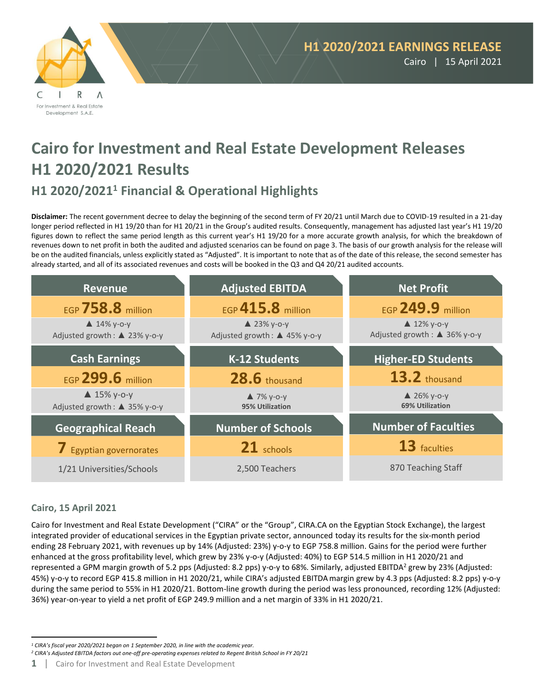

# **Cairo for Investment and Real Estate Development Releases H1 2020/2021 Results**

# **H1 2020/2021 <sup>1</sup> Financial & Operational Highlights**

**Disclaimer:** The recent government decree to delay the beginning of the second term of FY 20/21 until March due to COVID-19 resulted in a 21-day longer period reflected in H1 19/20 than for H1 20/21 in the Group's audited results. Consequently, management has adjusted last year's H1 19/20 figures down to reflect the same period length as this current year's H1 19/20 for a more accurate growth analysis, for which the breakdown of revenues down to net profit in both the audited and adjusted scenarios can be found on page 3. The basis of our growth analysis for the release will be on the audited financials, unless explicitly stated as "Adjusted". It is important to note that as of the date of this release, the second semester has already started, and all of its associated revenues and costs will be booked in the Q3 and Q4 20/21 audited accounts.



# **Cairo, 15 April 2021**

Cairo for Investment and Real Estate Development ("CIRA" or the "Group", CIRA.CA on the Egyptian Stock Exchange), the largest integrated provider of educational services in the Egyptian private sector, announced today its results for the six-month period ending 28 February 2021, with revenues up by 14% (Adjusted: 23%) y-o-y to EGP 758.8 million. Gains for the period were further enhanced at the gross profitability level, which grew by 23% y-o-y (Adjusted: 40%) to EGP 514.5 million in H1 2020/21 and represented a GPM margin growth of 5.2 pps (Adjusted: 8.2 pps) y-o-y to 68%. Similarly, adjusted EBITDA<sup>2</sup> grew by 23% (Adjusted: 45%) y-o-y to record EGP 415.8 million in H1 2020/21, while CIRA's adjusted EBITDAmargin grew by 4.3 pps (Adjusted: 8.2 pps) y-o-y during the same period to 55% in H1 2020/21. Bottom-line growth during the period was less pronounced, recording 12% (Adjusted: 36%) year-on-year to yield a net profit of EGP 249.9 million and a net margin of 33% in H1 2020/21.

*<sup>2</sup> CIRA's Adjusted EBITDA factors out one-off pre-operating expenses related to Regent British School in FY 20/21*

*<sup>1</sup> CIRA's fiscal year 2020/2021 began on 1 September 2020, in line with the academic year.* 

**<sup>1</sup>** | Cairo for Investment and Real Estate Development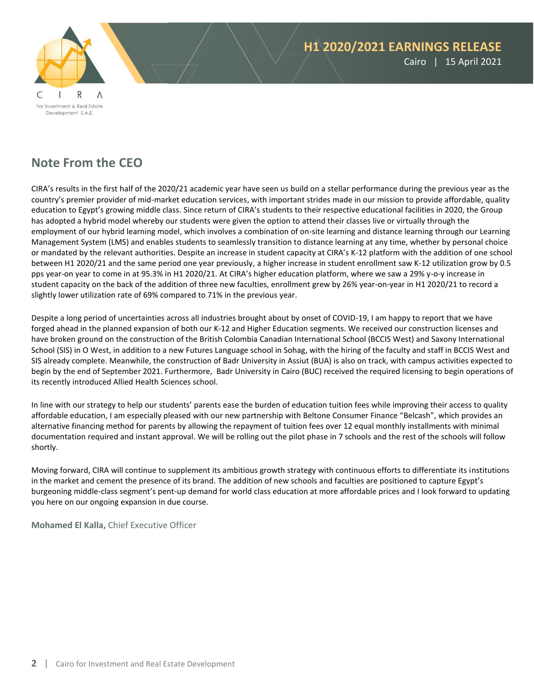

# **Note From the CEO**

CIRA's results in the first half of the 2020/21 academic year have seen us build on a stellar performance during the previous year as the country's premier provider of mid-market education services, with important strides made in our mission to provide affordable, quality education to Egypt's growing middle class. Since return of CIRA's students to their respective educational facilities in 2020, the Group has adopted a hybrid model whereby our students were given the option to attend their classes live or virtually through the employment of our hybrid learning model, which involves a combination of on-site learning and distance learning through our Learning Management System (LMS) and enables students to seamlessly transition to distance learning at any time, whether by personal choice or mandated by the relevant authorities. Despite an increase in student capacity at CIRA's K-12 platform with the addition of one school between H1 2020/21 and the same period one year previously, a higher increase in student enrollment saw K-12 utilization grow by 0.5 pps year-on year to come in at 95.3% in H1 2020/21. At CIRA's higher education platform, where we saw a 29% y-o-y increase in student capacity on the back of the addition of three new faculties, enrollment grew by 26% year-on-year in H1 2020/21 to record a slightly lower utilization rate of 69% compared to 71% in the previous year.

Despite a long period of uncertainties across all industries brought about by onset of COVID-19, I am happy to report that we have forged ahead in the planned expansion of both our K-12 and Higher Education segments. We received our construction licenses and have broken ground on the construction of the British Colombia Canadian International School (BCCIS West) and Saxony International School (SIS) in O West, in addition to a new Futures Language school in Sohag, with the hiring of the faculty and staff in BCCIS West and SIS already complete. Meanwhile, the construction of Badr University in Assiut (BUA) is also on track, with campus activities expected to begin by the end of September 2021. Furthermore, Badr University in Cairo (BUC) received the required licensing to begin operations of its recently introduced Allied Health Sciences school.

In line with our strategy to help our students' parents ease the burden of education tuition fees while improving their access to quality affordable education, I am especially pleased with our new partnership with Beltone Consumer Finance "Belcash", which provides an alternative financing method for parents by allowing the repayment of tuition fees over 12 equal monthly installments with minimal documentation required and instant approval. We will be rolling out the pilot phase in 7 schools and the rest of the schools will follow shortly.

Moving forward, CIRA will continue to supplement its ambitious growth strategy with continuous efforts to differentiate its institutions in the market and cement the presence of its brand. The addition of new schools and faculties are positioned to capture Egypt's burgeoning middle-class segment's pent-up demand for world class education at more affordable prices and I look forward to updating you here on our ongoing expansion in due course.

**Mohamed El Kalla,** Chief Executive Officer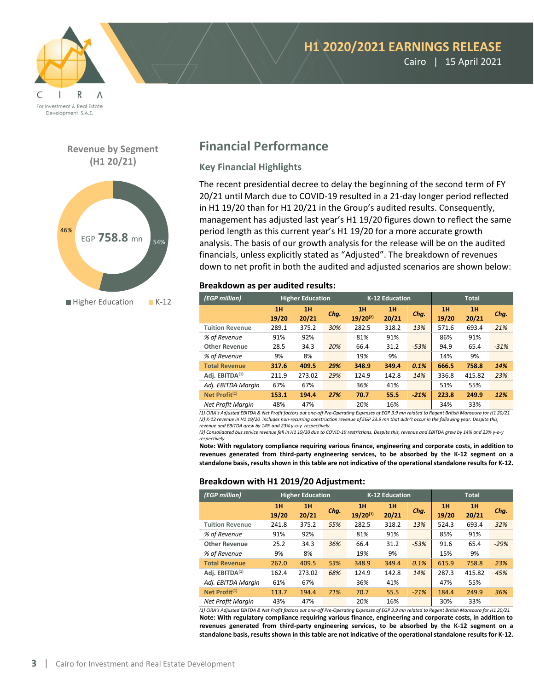

Cairo | 15 April 2021

**Revenue by Segment (H1 20/21)**



# **Financial Performance**

### **Key Financial Highlights**

The recent presidential decree to delay the beginning of the second term of FY 20/21 until March due to COVID-19 resulted in a 21-day longer period reflected in H1 19/20 than for H1 20/21 in the Group's audited results. Consequently, management has adjusted last year's H1 19/20 figures down to reflect the same period length as this current year's H1 19/20 for a more accurate growth analysis. The basis of our growth analysis for the release will be on the audited financials, unless explicitly stated as "Adjusted". The breakdown of revenues down to net profit in both the audited and adjusted scenarios are shown below:

### **Breakdown as per audited results:**

| (EGP million)              | <b>Higher Education</b> |        | K-12 Education |               |       | <b>Total</b> |       |        |        |
|----------------------------|-------------------------|--------|----------------|---------------|-------|--------------|-------|--------|--------|
|                            | 1H                      | 1H     | Chg.           | 1H            | 1H    | Chq.         | 1H    | 1H     | Chq.   |
|                            | 19/20                   | 20/21  |                | $19/20^{(2)}$ | 20/21 |              | 19/20 | 20/21  |        |
| <b>Tuition Revenue</b>     | 289.1                   | 375.2  | 30%            | 282.5         | 318.2 | 13%          | 571.6 | 693.4  | 21%    |
| % of Revenue               | 91%                     | 92%    |                | 81%           | 91%   |              | 86%   | 91%    |        |
| <b>Other Revenue</b>       | 28.5                    | 34.3   | 20%            | 66.4          | 31.2  | $-53%$       | 94.9  | 65.4   | $-31%$ |
| % of Revenue               | 9%                      | 8%     |                | 19%           | 9%    |              | 14%   | 9%     |        |
| <b>Total Revenue</b>       | 317.6                   | 409.5  | 29%            | 348.9         | 349.4 | 0.1%         | 666.5 | 758.8  | 14%    |
| Adj. EBITDA <sup>(1)</sup> | 211.9                   | 273.02 | 29%            | 124.9         | 142.8 | 14%          | 336.8 | 415.82 | 23%    |
| Adj. EBITDA Margin         | 67%                     | 67%    |                | 36%           | 41%   |              | 51%   | 55%    |        |
| Net Profit <sup>(1)</sup>  | 153.1                   | 194.4  | 27%            | 70.7          | 55.5  | $-21%$       | 223.8 | 249.9  | 12%    |
| <b>Net Profit Marain</b>   | 48%                     | 47%    |                | 20%           | 16%   |              | 34%   | 33%    |        |

*(1) CIRA's Adjusted EBITDA & Net Profit factors out one-off Pre-Operating Expenses of EGP 3.9 mn related to Regent British Mansoura for H1 20/21 (2) K-12 revenue in H1 19/20 includes non-recurring construction revenue of EGP 23.9 mn that didn't occur in the following year. Despite this, revenue and EBITDA grew by 14% and 23% y-o-y respectively.*

*(3) Consolidated bus service revenue fell in H1 19/20 due to COVID-19 restrictions. Despite this, revenue and EBITDA grew by 14% and 23% y-o-y respectively.*

**Note: With regulatory compliance requiring various finance, engineering and corporate costs, in addition to revenues generated from third-party engineering services, to be absorbed by the K-12 segment on a standalone basis, results shown in this table are not indicative of the operational standalone results for K-12.**

### **Breakdown with H1 2019/20 Adjustment:**

| (EGP million)              | <b>Higher Education</b> |             | K-12 Education |                     |             | <b>Total</b> |             |             |        |
|----------------------------|-------------------------|-------------|----------------|---------------------|-------------|--------------|-------------|-------------|--------|
|                            | 1H<br>19/20             | 1H<br>20/21 | Chg.           | 1H<br>$19/20^{(1)}$ | 1H<br>20/21 | Chg.         | 1H<br>19/20 | 1H<br>20/21 | Chg.   |
| <b>Tuition Revenue</b>     | 241.8                   | 375.2       | 55%            | 282.5               | 318.2       | 13%          | 524.3       | 693.4       | 32%    |
| % of Revenue               | 91%                     | 92%         |                | 81%                 | 91%         |              | 85%         | 91%         |        |
| <b>Other Revenue</b>       | 25.2                    | 34.3        | 36%            | 66.4                | 31.2        | $-53%$       | 91.6        | 65.4        | $-29%$ |
| % of Revenue               | 9%                      | 8%          |                | 19%                 | 9%          |              | 15%         | 9%          |        |
| <b>Total Revenue</b>       | 267.0                   | 409.5       | 53%            | 348.9               | 349.4       | 0.1%         | 615.9       | 758.8       | 23%    |
| Adi. EBITDA <sup>(1)</sup> | 162.4                   | 273.02      | 68%            | 124.9               | 142.8       | 14%          | 287.3       | 415.82      | 45%    |
| Adj. EBITDA Margin         | 61%                     | 67%         |                | 36%                 | 41%         |              | 47%         | 55%         |        |
| Net Profit <sup>(1)</sup>  | 113.7                   | 194.4       | 71%            | 70.7                | 55.5        | $-21%$       | 184.4       | 249.9       | 36%    |
| <b>Net Profit Margin</b>   | 43%                     | 47%         |                | 20%                 | 16%         |              | 30%         | 33%         |        |

*(1) CIRA's Adjusted EBITDA & Net Profit factors out one-off Pre-Operating Expenses of EGP 3.9 mn related to Regent British Mansoura for H1 20/21* **Note: With regulatory compliance requiring various finance, engineering and corporate costs, in addition to revenues generated from third-party engineering services, to be absorbed by the K-12 segment on a standalone basis, results shown in this table are not indicative of the operational standalone results for K-12.**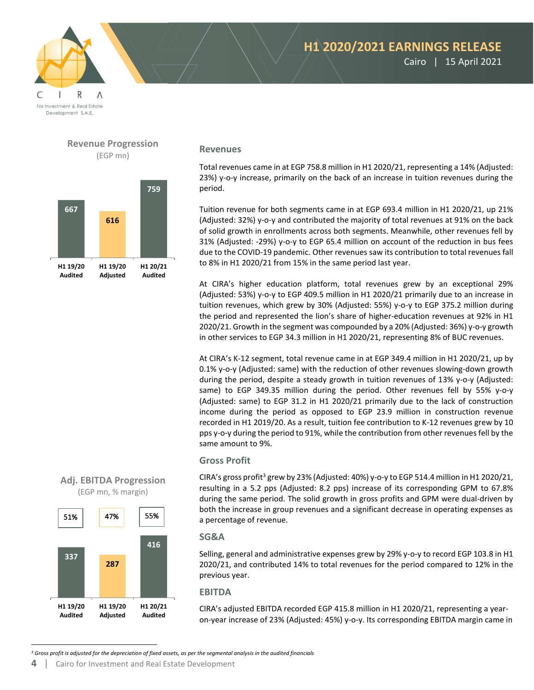

# **H1 2020/2021 EARNINGS RELEASE** Cairo | 15 April 2021

**Revenues**

Total revenues came in at EGP 758.8 million in H1 2020/21, representing a 14% (Adjusted: 23%) y-o-y increase, primarily on the back of an increase in tuition revenues during the period.

Tuition revenue for both segments came in at EGP 693.4 million in H1 2020/21, up 21% (Adjusted: 32%) y-o-y and contributed the majority of total revenues at 91% on the back of solid growth in enrollments across both segments. Meanwhile, other revenues fell by 31% (Adjusted: -29%) y-o-y to EGP 65.4 million on account of the reduction in bus fees due to the COVID-19 pandemic. Other revenues saw its contribution to total revenues fall to 8% in H1 2020/21 from 15% in the same period last year.

At CIRA's higher education platform, total revenues grew by an exceptional 29% (Adjusted: 53%) y-o-y to EGP 409.5 million in H1 2020/21 primarily due to an increase in tuition revenues, which grew by 30% (Adjusted: 55%) y-o-y to EGP 375.2 million during the period and represented the lion's share of higher-education revenues at 92% in H1 2020/21. Growth in the segment was compounded by a 20% (Adjusted: 36%) y-o-y growth in other services to EGP 34.3 million in H1 2020/21, representing 8% of BUC revenues.

At CIRA's K-12 segment, total revenue came in at EGP 349.4 million in H1 2020/21, up by 0.1% y-o-y (Adjusted: same) with the reduction of other revenues slowing-down growth during the period, despite a steady growth in tuition revenues of 13% y-o-y (Adjusted: same) to EGP 349.35 million during the period. Other revenues fell by 55% y-o-y (Adjusted: same) to EGP 31.2 in H1 2020/21 primarily due to the lack of construction income during the period as opposed to EGP 23.9 million in construction revenue recorded in H1 2019/20. As a result, tuition fee contribution to K-12 revenues grew by 10 pps y-o-y during the period to 91%, while the contribution from other revenues fell by the same amount to 9%.

### **Gross Profit**

CIRA's gross profit<sup>3</sup> grew by 23% (Adjusted: 40%) y-o-y to EGP 514.4 million in H1 2020/21, resulting in a 5.2 pps (Adjusted: 8.2 pps) increase of its corresponding GPM to 67.8% during the same period. The solid growth in gross profits and GPM were dual-driven by both the increase in group revenues and a significant decrease in operating expenses as a percentage of revenue.

#### **SG&A**

Selling, general and administrative expenses grew by 29% y-o-y to record EGP 103.8 in H1 2020/21, and contributed 14% to total revenues for the period compared to 12% in the previous year.

#### **EBITDA**

CIRA's adjusted EBITDA recorded EGP 415.8 million in H1 2020/21, representing a yearon-year increase of 23% (Adjusted: 45%) y-o-y. Its corresponding EBITDA margin came in

*<sup>3</sup> Gross profit is adjusted for the depreciation of fixed assets, as per the segmental analysis in the audited financials*



**Revenue Progression** (EGP mn)

**Adj. EBITDA Progression** (EGP mn, % margin)

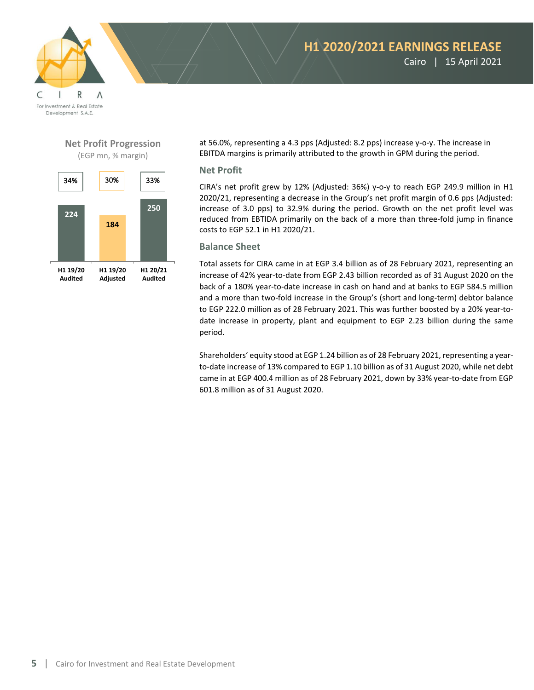



### **Net Profit Progression** (EGP mn, % margin)



at 56.0%, representing a 4.3 pps (Adjusted: 8.2 pps) increase y-o-y. The increase in EBITDA margins is primarily attributed to the growth in GPM during the period.

### **Net Profit**

CIRA's net profit grew by 12% (Adjusted: 36%) y-o-y to reach EGP 249.9 million in H1 2020/21, representing a decrease in the Group's net profit margin of 0.6 pps (Adjusted: increase of 3.0 pps) to 32.9% during the period. Growth on the net profit level was reduced from EBTIDA primarily on the back of a more than three-fold jump in finance costs to EGP 52.1 in H1 2020/21.

### **Balance Sheet**

Total assets for CIRA came in at EGP 3.4 billion as of 28 February 2021, representing an increase of 42% year-to-date from EGP 2.43 billion recorded as of 31 August 2020 on the back of a 180% year-to-date increase in cash on hand and at banks to EGP 584.5 million and a more than two-fold increase in the Group's (short and long-term) debtor balance to EGP 222.0 million as of 28 February 2021. This was further boosted by a 20% year-todate increase in property, plant and equipment to EGP 2.23 billion during the same period.

Shareholders' equity stood at EGP 1.24 billion as of 28 February 2021, representing a yearto-date increase of 13% compared to EGP 1.10 billion as of 31 August 2020, while net debt came in at EGP 400.4 million as of 28 February 2021, down by 33% year-to-date from EGP 601.8 million as of 31 August 2020.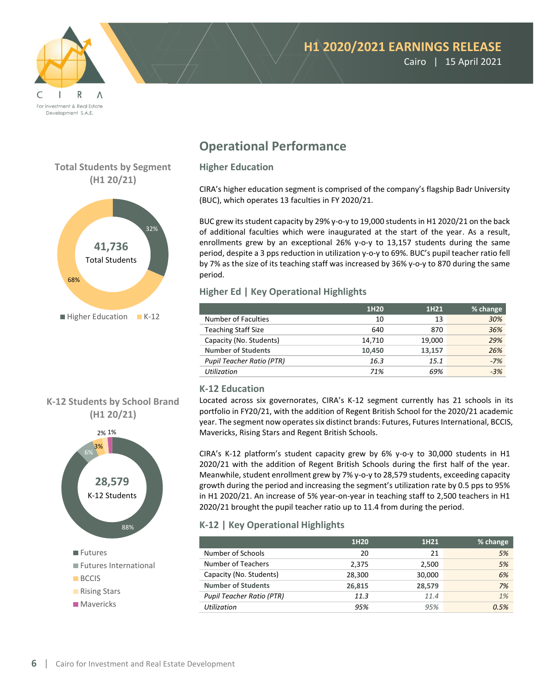

Cairo | 15 April 2021

# **Total Students by Segment (H1 20/21)**



# **K-12 Students by School Brand (H1 20/21)**



# **Operational Performance**

### **Higher Education**

CIRA's higher education segment is comprised of the company's flagship Badr University (BUC), which operates 13 faculties in FY 2020/21.

BUC grew its student capacity by 29% y-o-y to 19,000 students in H1 2020/21 on the back of additional faculties which were inaugurated at the start of the year. As a result, enrollments grew by an exceptional 26% y-o-y to 13,157 students during the same period, despite a 3 pps reduction in utilization y-o-y to 69%. BUC's pupil teacher ratio fell by 7% as the size of its teaching staff was increased by 36% y-o-y to 870 during the same period.

### **Higher Ed | Key Operational Highlights**

|                                  | 1H20   | 1H <sub>21</sub> | % change |
|----------------------------------|--------|------------------|----------|
| Number of Faculties              | 10     | 13               | 30%      |
| <b>Teaching Staff Size</b>       | 640    | 870              | 36%      |
| Capacity (No. Students)          | 14,710 | 19,000           | 29%      |
| <b>Number of Students</b>        | 10.450 | 13.157           | 26%      |
| <b>Pupil Teacher Ratio (PTR)</b> | 16.3   | 15.1             | $-7%$    |
| <b>Utilization</b>               | 71%    | 69%              | $-3%$    |

# **K-12 Education**

Located across six governorates, CIRA's K-12 segment currently has 21 schools in its portfolio in FY20/21, with the addition of Regent British School for the 2020/21 academic year. The segment now operates six distinct brands: Futures, Futures International, BCCIS, Mavericks, Rising Stars and Regent British Schools.

CIRA's K-12 platform's student capacity grew by 6% y-o-y to 30,000 students in H1 2020/21 with the addition of Regent British Schools during the first half of the year. Meanwhile, student enrollment grew by 7% y-o-y to 28,579 students, exceeding capacity growth during the period and increasing the segment's utilization rate by 0.5 pps to 95% in H1 2020/21. An increase of 5% year-on-year in teaching staff to 2,500 teachers in H1 2020/21 brought the pupil teacher ratio up to 11.4 from during the period.

# **K-12 | Key Operational Highlights**

|                                  | 1H <sub>20</sub> | 1H21   | % change |
|----------------------------------|------------------|--------|----------|
| Number of Schools                | 20               | 21     | 5%       |
| Number of Teachers               | 2.375            | 2,500  | 5%       |
| Capacity (No. Students)          | 28,300           | 30,000 | 6%       |
| <b>Number of Students</b>        | 26.815           | 28,579 | 7%       |
| <b>Pupil Teacher Ratio (PTR)</b> | 11.3             | 11.4   | 1%       |
| <b>Utilization</b>               | 95%              | 95%    | 0.5%     |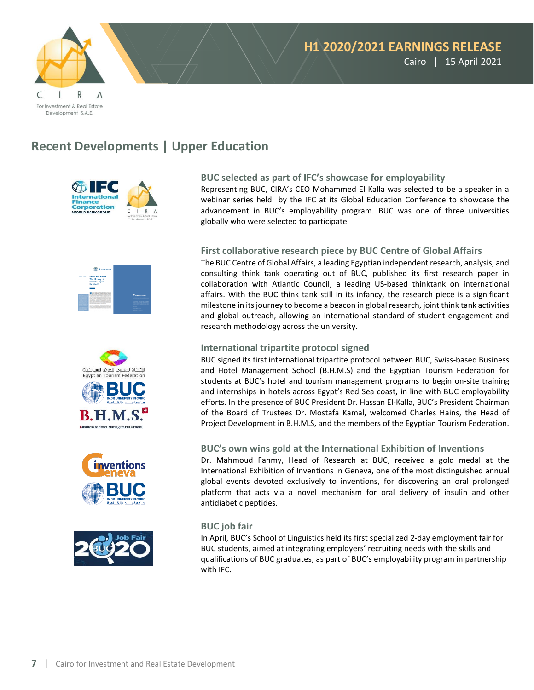

# **Recent Developments | Upper Education**











#### **BUC selected as part of IFC's showcase for employability**

Representing BUC, CIRA's CEO Mohammed El Kalla was selected to be a speaker in a webinar series held by the IFC at its Global Education Conference to showcase the advancement in BUC's employability program. BUC was one of three universities globally who were selected to participate

#### **First collaborative research piece by BUC Centre of Global Affairs**

The BUC Centre of Global Affairs, a leading Egyptian independent research, analysis, and consulting think tank operating out of BUC, published its first research paper in collaboration with Atlantic Council, a leading US-based thinktank on international affairs. With the BUC think tank still in its infancy, the research piece is a significant milestone in its journey to become a beacon in global research, joint think tank activities and global outreach, allowing an international standard of student engagement and research methodology across the university.

#### **International tripartite protocol signed**

BUC signed its first international tripartite protocol between BUC, Swiss-based Business and Hotel Management School (B.H.M.S) and the Egyptian Tourism Federation for students at BUC's hotel and tourism management programs to begin on-site training and internships in hotels across Egypt's Red Sea coast, in line with BUC employability efforts. In the presence of BUC President Dr. Hassan El-Kalla, BUC's President Chairman of the Board of Trustees Dr. Mostafa Kamal, welcomed Charles Hains, the Head of Project Development in B.H.M.S, and the members of the Egyptian Tourism Federation.

#### **BUC's own wins gold at the International Exhibition of Inventions**

Dr. Mahmoud Fahmy, Head of Research at BUC, received a gold medal at the International Exhibition of Inventions in Geneva, one of the most distinguished annual global events devoted exclusively to inventions, for discovering an oral prolonged platform that acts via a novel mechanism for oral delivery of insulin and other antidiabetic peptides.

#### **BUC job fair**

In April, BUC's School of Linguistics held its first specialized 2-day employment fair for BUC students, aimed at integrating employers' recruiting needs with the skills and qualifications of BUC graduates, as part of BUC's employability program in partnership with IFC.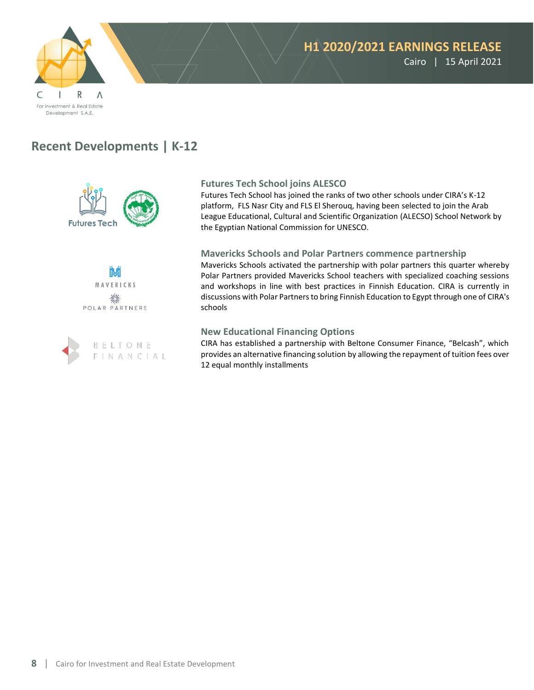

# **Recent Developments | K-12**







### **Futures Tech School joins ALESCO**

Futures Tech School has joined the ranks of two other schools under CIRA's K-12 platform, FLS Nasr City and FLS El Sherouq, having been selected to join the Arab League Educational, Cultural and Scientific Organization (ALECSO) School Network by the Egyptian National Commission for UNESCO.

### **Mavericks Schools and Polar Partners commence partnership**

Mavericks Schools activated the partnership with polar partners this quarter whereby Polar Partners provided Mavericks School teachers with specialized coaching sessions and workshops in line with best practices in Finnish Education. CIRA is currently in discussions with Polar Partners to bring Finnish Education to Egypt through one of CIRA's schools

#### **New Educational Financing Options**

CIRA has established a partnership with Beltone Consumer Finance, "Belcash", which provides an alternative financing solution by allowing the repayment of tuition fees over 12 equal monthly installments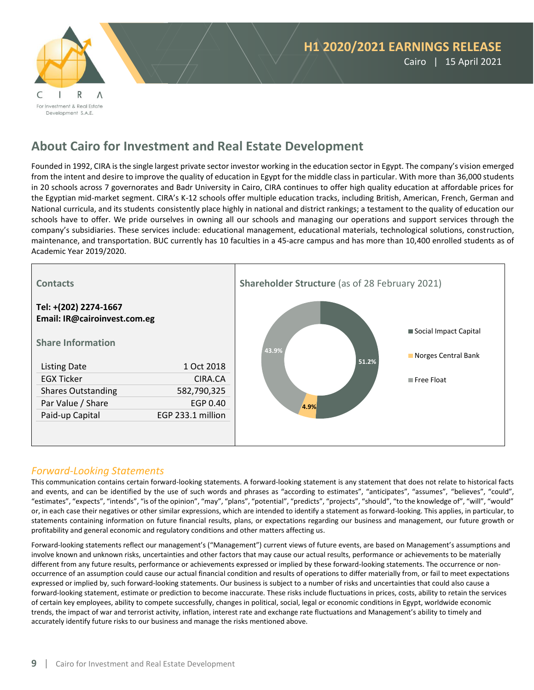

# **About Cairo for Investment and Real Estate Development**

Founded in 1992, CIRA is the single largest private sector investor working in the education sector in Egypt. The company's vision emerged from the intent and desire to improve the quality of education in Egypt for the middle class in particular. With more than 36,000 students in 20 schools across 7 governorates and Badr University in Cairo, CIRA continues to offer high quality education at affordable prices for the Egyptian mid-market segment. CIRA's K-12 schools offer multiple education tracks, including British, American, French, German and National curricula, and its students consistently place highly in national and district rankings; a testament to the quality of education our schools have to offer. We pride ourselves in owning all our schools and managing our operations and support services through the company's subsidiaries. These services include: educational management, educational materials, technological solutions, construction, maintenance, and transportation. BUC currently has 10 faculties in a 45-acre campus and has more than 10,400 enrolled students as of Academic Year 2019/2020.



# *Forward-Looking Statements*

This communication contains certain forward-looking statements. A forward-looking statement is any statement that does not relate to historical facts and events, and can be identified by the use of such words and phrases as "according to estimates", "anticipates", "assumes", "believes", "could", "estimates", "expects", "intends", "is of the opinion", "may", "plans", "potential", "predicts", "projects", "should", "to the knowledge of", "will", "would" or, in each case their negatives or other similar expressions, which are intended to identify a statement as forward-looking. This applies, in particular, to statements containing information on future financial results, plans, or expectations regarding our business and management, our future growth or profitability and general economic and regulatory conditions and other matters affecting us.

Forward-looking statements reflect our management's ("Management") current views of future events, are based on Management's assumptions and involve known and unknown risks, uncertainties and other factors that may cause our actual results, performance or achievements to be materially different from any future results, performance or achievements expressed or implied by these forward-looking statements. The occurrence or nonoccurrence of an assumption could cause our actual financial condition and results of operations to differ materially from, or fail to meet expectations expressed or implied by, such forward-looking statements. Our business is subject to a number of risks and uncertainties that could also cause a forward-looking statement, estimate or prediction to become inaccurate. These risks include fluctuations in prices, costs, ability to retain the services of certain key employees, ability to compete successfully, changes in political, social, legal or economic conditions in Egypt, worldwide economic trends, the impact of war and terrorist activity, inflation, interest rate and exchange rate fluctuations and Management's ability to timely and accurately identify future risks to our business and manage the risks mentioned above.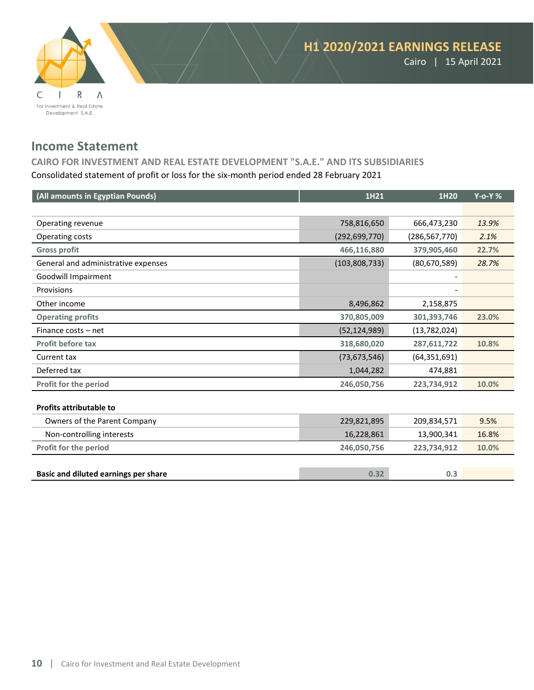

# **Income Statement**

**CAIRO FOR INVESTMENT AND REAL ESTATE DEVELOPMENT "S.A.E." AND ITS SUBSIDIARIES** Consolidated statement of profit or loss for the six-month period ended 28 February 2021

| (All amounts in Egyptian Pounds)     | 1H21            | 1H20            | $Y$ -o-Y $%$ |
|--------------------------------------|-----------------|-----------------|--------------|
|                                      |                 |                 |              |
| Operating revenue                    | 758,816,650     | 666,473,230     | 13.9%        |
| Operating costs                      | (292, 699, 770) | (286, 567, 770) | 2.1%         |
| <b>Gross profit</b>                  | 466,116,880     | 379,905,460     | 22.7%        |
| General and administrative expenses  | (103, 808, 733) | (80,670,589)    | 28.7%        |
| Goodwill Impairment                  |                 |                 |              |
| Provisions                           |                 |                 |              |
| Other income                         | 8,496,862       | 2,158,875       |              |
| <b>Operating profits</b>             | 370,805,009     | 301,393,746     | 23.0%        |
| Finance costs - net                  | (52, 124, 989)  | (13,782,024)    |              |
| <b>Profit before tax</b>             | 318,680,020     | 287,611,722     | 10.8%        |
| Current tax                          | (73, 673, 546)  | (64, 351, 691)  |              |
| Deferred tax                         | 1,044,282       | 474,881         |              |
| Profit for the period                | 246,050,756     | 223,734,912     | 10.0%        |
|                                      |                 |                 |              |
| <b>Profits attributable to</b>       |                 |                 |              |
| Owners of the Parent Company         | 229,821,895     | 209,834,571     | 9.5%         |
| Non-controlling interests            | 16,228,861      | 13,900,341      | 16.8%        |
| Profit for the period                | 246,050,756     | 223,734,912     | 10.0%        |
|                                      |                 |                 |              |
| Basic and diluted earnings per share | 0.32            | 0.3             |              |